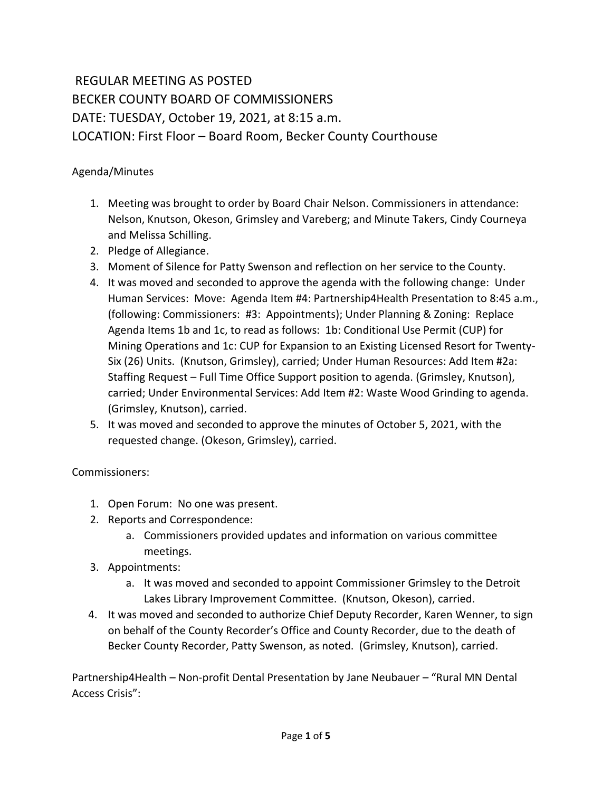## REGULAR MEETING AS POSTED BECKER COUNTY BOARD OF COMMISSIONERS DATE: TUESDAY, October 19, 2021, at 8:15 a.m. LOCATION: First Floor – Board Room, Becker County Courthouse

Agenda/Minutes

- 1. Meeting was brought to order by Board Chair Nelson. Commissioners in attendance: Nelson, Knutson, Okeson, Grimsley and Vareberg; and Minute Takers, Cindy Courneya and Melissa Schilling.
- 2. Pledge of Allegiance.
- 3. Moment of Silence for Patty Swenson and reflection on her service to the County.
- 4. It was moved and seconded to approve the agenda with the following change: Under Human Services: Move: Agenda Item #4: Partnership4Health Presentation to 8:45 a.m., (following: Commissioners: #3: Appointments); Under Planning & Zoning: Replace Agenda Items 1b and 1c, to read as follows: 1b: Conditional Use Permit (CUP) for Mining Operations and 1c: CUP for Expansion to an Existing Licensed Resort for Twenty-Six (26) Units. (Knutson, Grimsley), carried; Under Human Resources: Add Item #2a: Staffing Request – Full Time Office Support position to agenda. (Grimsley, Knutson), carried; Under Environmental Services: Add Item #2: Waste Wood Grinding to agenda. (Grimsley, Knutson), carried.
- 5. It was moved and seconded to approve the minutes of October 5, 2021, with the requested change. (Okeson, Grimsley), carried.

Commissioners:

- 1. Open Forum: No one was present.
- 2. Reports and Correspondence:
	- a. Commissioners provided updates and information on various committee meetings.
- 3. Appointments:
	- a. It was moved and seconded to appoint Commissioner Grimsley to the Detroit Lakes Library Improvement Committee. (Knutson, Okeson), carried.
- 4. It was moved and seconded to authorize Chief Deputy Recorder, Karen Wenner, to sign on behalf of the County Recorder's Office and County Recorder, due to the death of Becker County Recorder, Patty Swenson, as noted. (Grimsley, Knutson), carried.

Partnership4Health – Non-profit Dental Presentation by Jane Neubauer – "Rural MN Dental Access Crisis":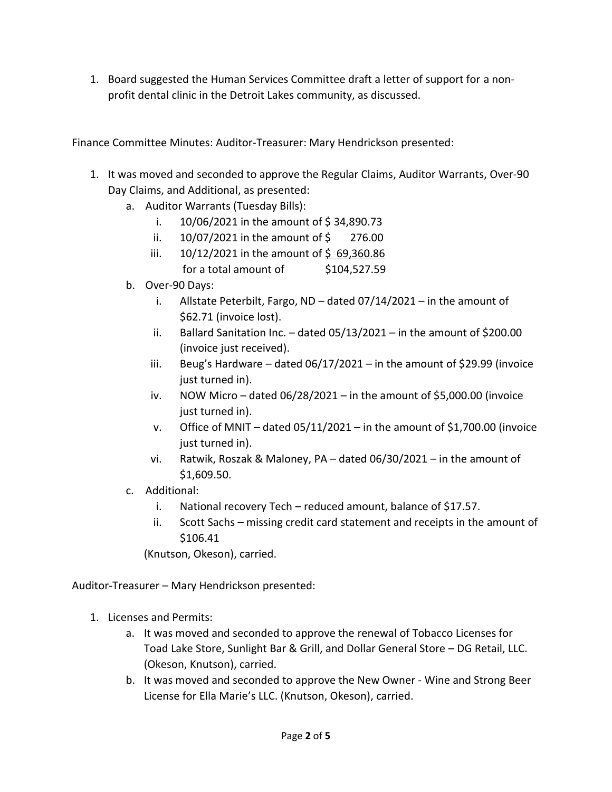1. Board suggested the Human Services Committee draft a letter of support for a nonprofit dental clinic in the Detroit Lakes community, as discussed.

Finance Committee Minutes: Auditor-Treasurer: Mary Hendrickson presented:

- 1. It was moved and seconded to approve the Regular Claims, Auditor Warrants, Over-90 Day Claims, and Additional, as presented:
	- a. Auditor Warrants (Tuesday Bills):
		- i.  $10/06/2021$  in the amount of \$34,890.73
		- ii. 10/07/2021 in the amount of \$ 276.00
		- iii.  $10/12/2021$  in the amount of \$69,360.86 for a total amount of \$104,527.59
	- b. Over-90 Days:
		- i. Allstate Peterbilt, Fargo, ND dated 07/14/2021 in the amount of \$62.71 (invoice lost).
		- ii. Ballard Sanitation Inc.  $-$  dated 05/13/2021 in the amount of \$200.00 (invoice just received).
		- iii. Beug's Hardware dated 06/17/2021 in the amount of \$29.99 (invoice just turned in).
		- iv. NOW Micro dated  $06/28/2021$  in the amount of \$5,000.00 (invoice just turned in).
		- v. Office of MNIT dated 05/11/2021 in the amount of \$1,700.00 (invoice just turned in).
		- vi. Ratwik, Roszak & Maloney, PA dated 06/30/2021 in the amount of \$1,609.50.
	- c. Additional:
		- i. National recovery Tech reduced amount, balance of \$17.57.
		- ii. Scott Sachs missing credit card statement and receipts in the amount of \$106.41

(Knutson, Okeson), carried.

Auditor-Treasurer – Mary Hendrickson presented:

- 1. Licenses and Permits:
	- a. It was moved and seconded to approve the renewal of Tobacco Licenses for Toad Lake Store, Sunlight Bar & Grill, and Dollar General Store – DG Retail, LLC. (Okeson, Knutson), carried.
	- b. It was moved and seconded to approve the New Owner Wine and Strong Beer License for Ella Marie's LLC. (Knutson, Okeson), carried.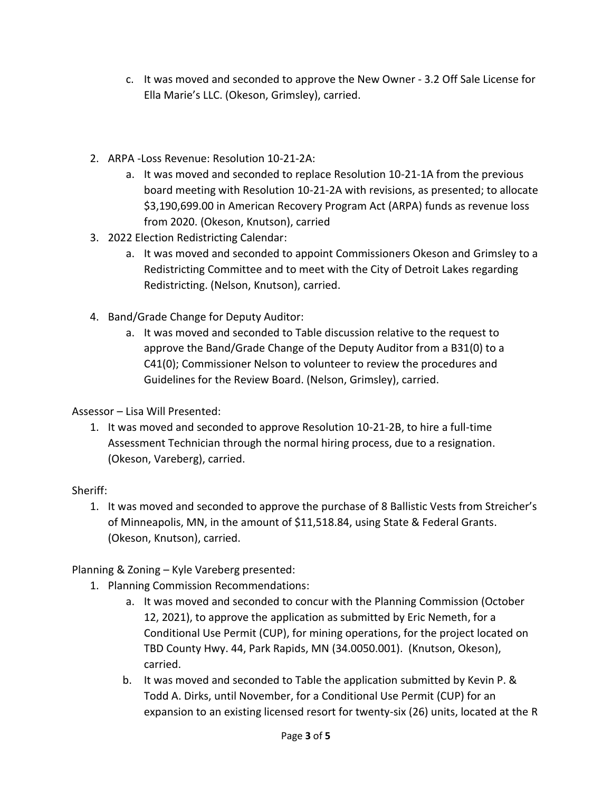- c. It was moved and seconded to approve the New Owner 3.2 Off Sale License for Ella Marie's LLC. (Okeson, Grimsley), carried.
- 2. ARPA -Loss Revenue: Resolution 10-21-2A:
	- a. It was moved and seconded to replace Resolution 10-21-1A from the previous board meeting with Resolution 10-21-2A with revisions, as presented; to allocate \$3,190,699.00 in American Recovery Program Act (ARPA) funds as revenue loss from 2020. (Okeson, Knutson), carried
- 3. 2022 Election Redistricting Calendar:
	- a. It was moved and seconded to appoint Commissioners Okeson and Grimsley to a Redistricting Committee and to meet with the City of Detroit Lakes regarding Redistricting. (Nelson, Knutson), carried.
- 4. Band/Grade Change for Deputy Auditor:
	- a. It was moved and seconded to Table discussion relative to the request to approve the Band/Grade Change of the Deputy Auditor from a B31(0) to a C41(0); Commissioner Nelson to volunteer to review the procedures and Guidelines for the Review Board. (Nelson, Grimsley), carried.

Assessor – Lisa Will Presented:

1. It was moved and seconded to approve Resolution 10-21-2B, to hire a full-time Assessment Technician through the normal hiring process, due to a resignation. (Okeson, Vareberg), carried.

## Sheriff:

1. It was moved and seconded to approve the purchase of 8 Ballistic Vests from Streicher's of Minneapolis, MN, in the amount of \$11,518.84, using State & Federal Grants. (Okeson, Knutson), carried.

Planning & Zoning – Kyle Vareberg presented:

- 1. Planning Commission Recommendations:
	- a. It was moved and seconded to concur with the Planning Commission (October 12, 2021), to approve the application as submitted by Eric Nemeth, for a Conditional Use Permit (CUP), for mining operations, for the project located on TBD County Hwy. 44, Park Rapids, MN (34.0050.001). (Knutson, Okeson), carried.
	- b. It was moved and seconded to Table the application submitted by Kevin P. & Todd A. Dirks, until November, for a Conditional Use Permit (CUP) for an expansion to an existing licensed resort for twenty-six (26) units, located at the R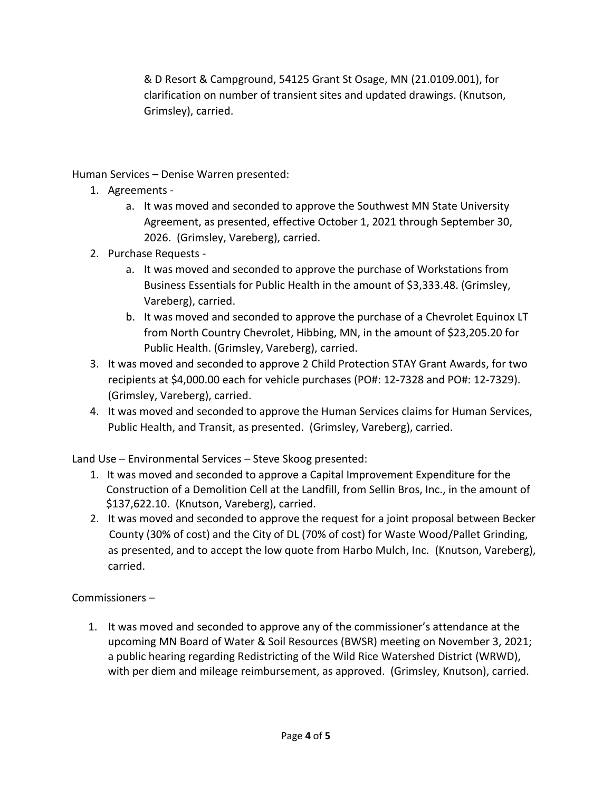& D Resort & Campground, 54125 Grant St Osage, MN (21.0109.001), for clarification on number of transient sites and updated drawings. (Knutson, Grimsley), carried.

Human Services – Denise Warren presented:

- 1. Agreements
	- a. It was moved and seconded to approve the Southwest MN State University Agreement, as presented, effective October 1, 2021 through September 30, 2026. (Grimsley, Vareberg), carried.
- 2. Purchase Requests
	- a. It was moved and seconded to approve the purchase of Workstations from Business Essentials for Public Health in the amount of \$3,333.48. (Grimsley, Vareberg), carried.
	- b. It was moved and seconded to approve the purchase of a Chevrolet Equinox LT from North Country Chevrolet, Hibbing, MN, in the amount of \$23,205.20 for Public Health. (Grimsley, Vareberg), carried.
- 3. It was moved and seconded to approve 2 Child Protection STAY Grant Awards, for two recipients at \$4,000.00 each for vehicle purchases (PO#: 12-7328 and PO#: 12-7329). (Grimsley, Vareberg), carried.
- 4. It was moved and seconded to approve the Human Services claims for Human Services, Public Health, and Transit, as presented. (Grimsley, Vareberg), carried.

Land Use – Environmental Services – Steve Skoog presented:

- 1. It was moved and seconded to approve a Capital Improvement Expenditure for the Construction of a Demolition Cell at the Landfill, from Sellin Bros, Inc., in the amount of \$137,622.10. (Knutson, Vareberg), carried.
- 2. It was moved and seconded to approve the request for a joint proposal between Becker County (30% of cost) and the City of DL (70% of cost) for Waste Wood/Pallet Grinding, as presented, and to accept the low quote from Harbo Mulch, Inc. (Knutson, Vareberg), carried.

Commissioners –

 1. It was moved and seconded to approve any of the commissioner's attendance at the upcoming MN Board of Water & Soil Resources (BWSR) meeting on November 3, 2021; a public hearing regarding Redistricting of the Wild Rice Watershed District (WRWD), with per diem and mileage reimbursement, as approved. (Grimsley, Knutson), carried.